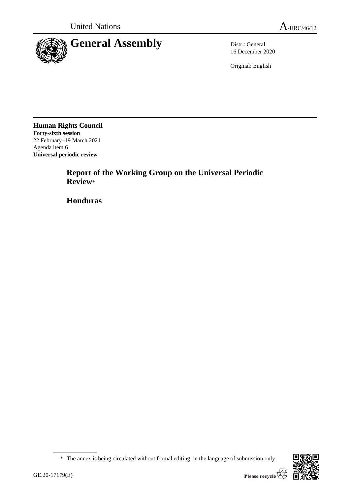

16 December 2020

Original: English

**Human Rights Council Forty-sixth session** 22 February–19 March 2021 Agenda item 6 **Universal periodic review**

> **Report of the Working Group on the Universal Periodic Review**\*

**Honduras**

<sup>\*</sup> The annex is being circulated without formal editing, in the language of submission only.

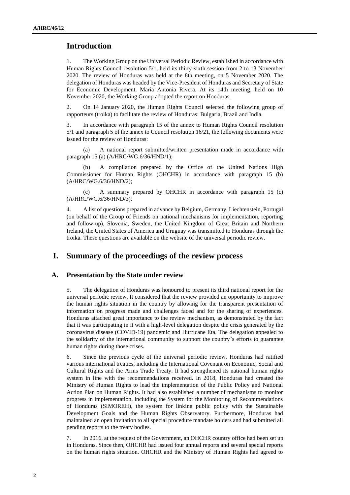# **Introduction**

1. The Working Group on the Universal Periodic Review, established in accordance with Human Rights Council resolution 5/1, held its thirty-sixth session from 2 to 13 November 2020. The review of Honduras was held at the 8th meeting, on 5 November 2020. The delegation of Honduras was headed by the Vice-President of Honduras and Secretary of State for Economic Development, María Antonia Rivera. At its 14th meeting, held on 10 November 2020, the Working Group adopted the report on Honduras.

2. On 14 January 2020, the Human Rights Council selected the following group of rapporteurs (troika) to facilitate the review of Honduras: Bulgaria, Brazil and India.

3. In accordance with paragraph 15 of the annex to Human Rights Council resolution 5/1 and paragraph 5 of the annex to Council resolution 16/21, the following documents were issued for the review of Honduras:

(a) A national report submitted/written presentation made in accordance with paragraph 15 (a) (A/HRC/WG.6/36/HND/1);

A compilation prepared by the Office of the United Nations High Commissioner for Human Rights (OHCHR) in accordance with paragraph 15 (b) (A/HRC/WG.6/36/HND/2);

(c) A summary prepared by OHCHR in accordance with paragraph 15 (c) (A/HRC/WG.6/36/HND/3).

4. A list of questions prepared in advance by Belgium, Germany, Liechtenstein, Portugal (on behalf of the Group of Friends on national mechanisms for implementation, reporting and follow-up), Slovenia, Sweden, the United Kingdom of Great Britain and Northern Ireland, the United States of America and Uruguay was transmitted to Honduras through the troika. These questions are available on the website of the universal periodic review.

## **I. Summary of the proceedings of the review process**

#### **A. Presentation by the State under review**

5. The delegation of Honduras was honoured to present its third national report for the universal periodic review. It considered that the review provided an opportunity to improve the human rights situation in the country by allowing for the transparent presentation of information on progress made and challenges faced and for the sharing of experiences. Honduras attached great importance to the review mechanism, as demonstrated by the fact that it was participating in it with a high-level delegation despite the crisis generated by the coronavirus disease (COVID-19) pandemic and Hurricane Eta. The delegation appealed to the solidarity of the international community to support the country's efforts to guarantee human rights during those crises.

6. Since the previous cycle of the universal periodic review, Honduras had ratified various international treaties, including the International Covenant on Economic, Social and Cultural Rights and the Arms Trade Treaty. It had strengthened its national human rights system in line with the recommendations received. In 2018, Honduras had created the Ministry of Human Rights to lead the implementation of the Public Policy and National Action Plan on Human Rights. It had also established a number of mechanisms to monitor progress in implementation, including the System for the Monitoring of Recommendations of Honduras (SIMOREH), the system for linking public policy with the Sustainable Development Goals and the Human Rights Observatory. Furthermore, Honduras had maintained an open invitation to all special procedure mandate holders and had submitted all pending reports to the treaty bodies.

7. In 2016, at the request of the Government, an OHCHR country office had been set up in Honduras. Since then, OHCHR had issued four annual reports and several special reports on the human rights situation. OHCHR and the Ministry of Human Rights had agreed to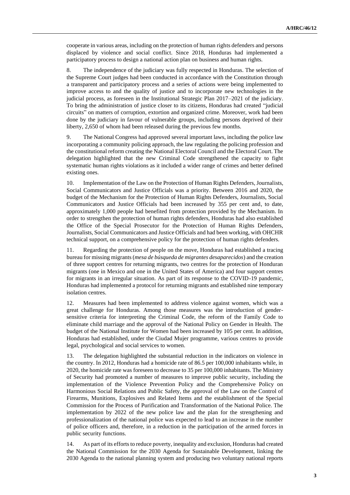cooperate in various areas, including on the protection of human rights defenders and persons displaced by violence and social conflict. Since 2018, Honduras had implemented a participatory process to design a national action plan on business and human rights.

8. The independence of the judiciary was fully respected in Honduras. The selection of the Supreme Court judges had been conducted in accordance with the Constitution through a transparent and participatory process and a series of actions were being implemented to improve access to and the quality of justice and to incorporate new technologies in the judicial process, as foreseen in the Institutional Strategic Plan 2017–2021 of the judiciary. To bring the administration of justice closer to its citizens, Honduras had created "judicial circuits" on matters of corruption, extortion and organized crime. Moreover, work had been done by the judiciary in favour of vulnerable groups, including persons deprived of their liberty, 2,650 of whom had been released during the previous few months.

9. The National Congress had approved several important laws, including the police law incorporating a community policing approach, the law regulating the policing profession and the constitutional reform creating the National Electoral Council and the Electoral Court. The delegation highlighted that the new Criminal Code strengthened the capacity to fight systematic human rights violations as it included a wider range of crimes and better defined existing ones.

10. Implementation of the Law on the Protection of Human Rights Defenders, Journalists, Social Communicators and Justice Officials was a priority. Between 2016 and 2020, the budget of the Mechanism for the Protection of Human Rights Defenders, Journalists, Social Communicators and Justice Officials had been increased by 355 per cent and, to date, approximately 1,000 people had benefited from protection provided by the Mechanism. In order to strengthen the protection of human rights defenders, Honduras had also established the Office of the Special Prosecutor for the Protection of Human Rights Defenders, Journalists, Social Communicators and Justice Officials and had been working, with OHCHR technical support, on a comprehensive policy for the protection of human rights defenders.

11. Regarding the protection of people on the move, Honduras had established a tracing bureau for missing migrants (*mesa de búsqueda de migrantes desaparecidos*) and the creation of three support centres for returning migrants, two centres for the protection of Honduran migrants (one in Mexico and one in the United States of America) and four support centres for migrants in an irregular situation. As part of its response to the COVID-19 pandemic, Honduras had implemented a protocol for returning migrants and established nine temporary isolation centres.

12. Measures had been implemented to address violence against women, which was a great challenge for Honduras. Among those measures was the introduction of gendersensitive criteria for interpreting the Criminal Code, the reform of the Family Code to eliminate child marriage and the approval of the National Policy on Gender in Health. The budget of the National Institute for Women had been increased by 105 per cent. In addition, Honduras had established, under the Ciudad Mujer programme, various centres to provide legal, psychological and social services to women.

13. The delegation highlighted the substantial reduction in the indicators on violence in the country. In 2012, Honduras had a homicide rate of 86.5 per 100,000 inhabitants while, in 2020, the homicide rate was foreseen to decrease to 35 per 100,000 inhabitants. The Ministry of Security had promoted a number of measures to improve public security, including the implementation of the Violence Prevention Policy and the Comprehensive Policy on Harmonious Social Relations and Public Safety, the approval of the Law on the Control of Firearms, Munitions, Explosives and Related Items and the establishment of the Special Commission for the Process of Purification and Transformation of the National Police. The implementation by 2022 of the new police law and the plan for the strengthening and professionalization of the national police was expected to lead to an increase in the number of police officers and, therefore, in a reduction in the participation of the armed forces in public security functions.

14. As part of its efforts to reduce poverty, inequality and exclusion, Honduras had created the National Commission for the 2030 Agenda for Sustainable Development, linking the 2030 Agenda to the national planning system and producing two voluntary national reports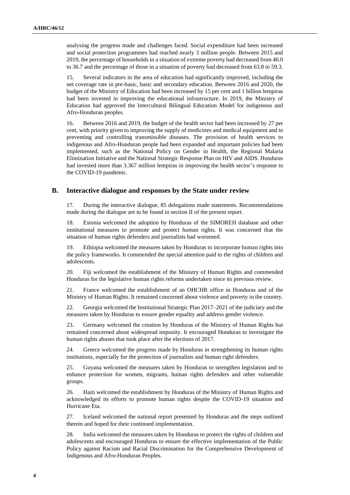analysing the progress made and challenges faced. Social expenditure had been increased and social protection programmes had reached nearly 3 million people. Between 2015 and 2019, the percentage of households in a situation of extreme poverty had decreased from 40.0 to 36.7 and the percentage of those in a situation of poverty had decreased from 63.8 to 59.3.

15. Several indicators in the area of education had significantly improved, including the net coverage rate in pre-basic, basic and secondary education. Between 2016 and 2020, the budget of the Ministry of Education had been increased by 15 per cent and 1 billion lempiras had been invested in improving the educational infrastructure. In 2019, the Ministry of Education had approved the Intercultural Bilingual Education Model for indigenous and Afro-Honduran peoples.

16. Between 2016 and 2019, the budget of the health sector had been increased by 27 per cent, with priority given to improving the supply of medicines and medical equipment and to preventing and controlling transmissible diseases. The provision of health services to indigenous and Afro-Honduran people had been expanded and important policies had been implemented, such as the National Policy on Gender in Health, the Regional Malaria Elimination Initiative and the National Strategic Response Plan on HIV and AIDS. Honduras had invested more than 3.367 million lempiras in improving the health sector's response to the COVID-19 pandemic.

### **B. Interactive dialogue and responses by the State under review**

17. During the interactive dialogue, 85 delegations made statements. Recommendations made during the dialogue are to be found in section II of the present report.

18. Estonia welcomed the adoption by Honduras of the SIMOREH database and other institutional measures to promote and protect human rights. It was concerned that the situation of human rights defenders and journalists had worsened.

19. Ethiopia welcomed the measures taken by Honduras to incorporate human rights into the policy frameworks. It commended the special attention paid to the rights of children and adolescents.

20. Fiji welcomed the establishment of the Ministry of Human Rights and commended Honduras for the legislative human rights reforms undertaken since its previous review.

21. France welcomed the establishment of an OHCHR office in Honduras and of the Ministry of Human Rights. It remained concerned about violence and poverty in the country.

22. Georgia welcomed the Institutional Strategic Plan 2017–2021 of the judiciary and the measures taken by Honduras to ensure gender equality and address gender violence.

23. Germany welcomed the creation by Honduras of the Ministry of Human Rights but remained concerned about widespread impunity. It encouraged Honduras to investigate the human rights abuses that took place after the elections of 2017.

24. Greece welcomed the progress made by Honduras in strengthening its human rights institutions, especially for the protection of journalists and human right defenders.

25. Guyana welcomed the measures taken by Honduras to strengthen legislation and to enhance protection for women, migrants, human rights defenders and other vulnerable groups.

26. Haiti welcomed the establishment by Honduras of the Ministry of Human Rights and acknowledged its efforts to promote human rights despite the COVID-19 situation and Hurricane Eta.

27. Iceland welcomed the national report presented by Honduras and the steps outlined therein and hoped for their continued implementation.

28. India welcomed the measures taken by Honduras to protect the rights of children and adolescents and encouraged Honduras to ensure the effective implementation of the Public Policy against Racism and Racial Discrimination for the Comprehensive Development of Indigenous and Afro-Honduran Peoples.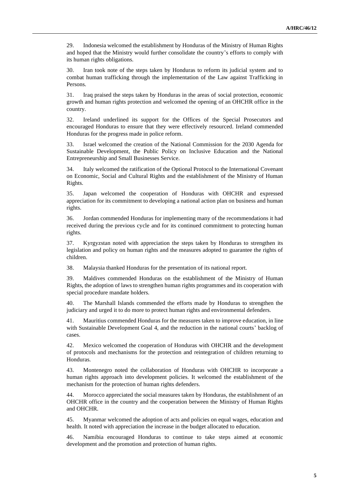29. Indonesia welcomed the establishment by Honduras of the Ministry of Human Rights and hoped that the Ministry would further consolidate the country's efforts to comply with its human rights obligations.

30. Iran took note of the steps taken by Honduras to reform its judicial system and to combat human trafficking through the implementation of the Law against Trafficking in Persons.

31. Iraq praised the steps taken by Honduras in the areas of social protection, economic growth and human rights protection and welcomed the opening of an OHCHR office in the country.

32. Ireland underlined its support for the Offices of the Special Prosecutors and encouraged Honduras to ensure that they were effectively resourced. Ireland commended Honduras for the progress made in police reform.

33. Israel welcomed the creation of the National Commission for the 2030 Agenda for Sustainable Development, the Public Policy on Inclusive Education and the National Entrepreneurship and Small Businesses Service.

34. Italy welcomed the ratification of the Optional Protocol to the International Covenant on Economic, Social and Cultural Rights and the establishment of the Ministry of Human Rights.

35. Japan welcomed the cooperation of Honduras with OHCHR and expressed appreciation for its commitment to developing a national action plan on business and human rights.

36. Jordan commended Honduras for implementing many of the recommendations it had received during the previous cycle and for its continued commitment to protecting human rights.

37. Kyrgyzstan noted with appreciation the steps taken by Honduras to strengthen its legislation and policy on human rights and the measures adopted to guarantee the rights of children.

38. Malaysia thanked Honduras for the presentation of its national report.

39. Maldives commended Honduras on the establishment of the Ministry of Human Rights, the adoption of laws to strengthen human rights programmes and its cooperation with special procedure mandate holders.

40. The Marshall Islands commended the efforts made by Honduras to strengthen the judiciary and urged it to do more to protect human rights and environmental defenders.

41. Mauritius commended Honduras for the measures taken to improve education, in line with Sustainable Development Goal 4, and the reduction in the national courts' backlog of cases.

42. Mexico welcomed the cooperation of Honduras with OHCHR and the development of protocols and mechanisms for the protection and reintegration of children returning to Honduras.

43. Montenegro noted the collaboration of Honduras with OHCHR to incorporate a human rights approach into development policies. It welcomed the establishment of the mechanism for the protection of human rights defenders.

44. Morocco appreciated the social measures taken by Honduras, the establishment of an OHCHR office in the country and the cooperation between the Ministry of Human Rights and OHCHR.

45. Myanmar welcomed the adoption of acts and policies on equal wages, education and health. It noted with appreciation the increase in the budget allocated to education.

46. Namibia encouraged Honduras to continue to take steps aimed at economic development and the promotion and protection of human rights.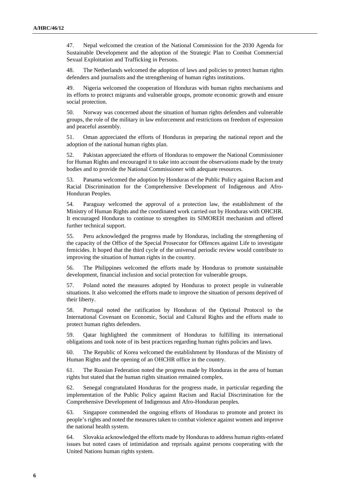47. Nepal welcomed the creation of the National Commission for the 2030 Agenda for Sustainable Development and the adoption of the Strategic Plan to Combat Commercial Sexual Exploitation and Trafficking in Persons.

48. The Netherlands welcomed the adoption of laws and policies to protect human rights defenders and journalists and the strengthening of human rights institutions.

49. Nigeria welcomed the cooperation of Honduras with human rights mechanisms and its efforts to protect migrants and vulnerable groups, promote economic growth and ensure social protection.

50. Norway was concerned about the situation of human rights defenders and vulnerable groups, the role of the military in law enforcement and restrictions on freedom of expression and peaceful assembly.

51. Oman appreciated the efforts of Honduras in preparing the national report and the adoption of the national human rights plan.

52. Pakistan appreciated the efforts of Honduras to empower the National Commissioner for Human Rights and encouraged it to take into account the observations made by the treaty bodies and to provide the National Commissioner with adequate resources.

53. Panama welcomed the adoption by Honduras of the Public Policy against Racism and Racial Discrimination for the Comprehensive Development of Indigenous and Afro-Honduran Peoples.

54. Paraguay welcomed the approval of a protection law, the establishment of the Ministry of Human Rights and the coordinated work carried out by Honduras with OHCHR. It encouraged Honduras to continue to strengthen its SIMOREH mechanism and offered further technical support.

55. Peru acknowledged the progress made by Honduras, including the strengthening of the capacity of the Office of the Special Prosecutor for Offences against Life to investigate femicides. It hoped that the third cycle of the universal periodic review would contribute to improving the situation of human rights in the country.

56. The Philippines welcomed the efforts made by Honduras to promote sustainable development, financial inclusion and social protection for vulnerable groups.

57. Poland noted the measures adopted by Honduras to protect people in vulnerable situations. It also welcomed the efforts made to improve the situation of persons deprived of their liberty.

58. Portugal noted the ratification by Honduras of the Optional Protocol to the International Covenant on Economic, Social and Cultural Rights and the efforts made to protect human rights defenders.

59. Qatar highlighted the commitment of Honduras to fulfilling its international obligations and took note of its best practices regarding human rights policies and laws.

60. The Republic of Korea welcomed the establishment by Honduras of the Ministry of Human Rights and the opening of an OHCHR office in the country.

61. The Russian Federation noted the progress made by Honduras in the area of human rights but stated that the human rights situation remained complex.

62. Senegal congratulated Honduras for the progress made, in particular regarding the implementation of the Public Policy against Racism and Racial Discrimination for the Comprehensive Development of Indigenous and Afro-Honduran peoples.

63. Singapore commended the ongoing efforts of Honduras to promote and protect its people's rights and noted the measures taken to combat violence against women and improve the national health system.

64. Slovakia acknowledged the efforts made by Honduras to address human rights-related issues but noted cases of intimidation and reprisals against persons cooperating with the United Nations human rights system.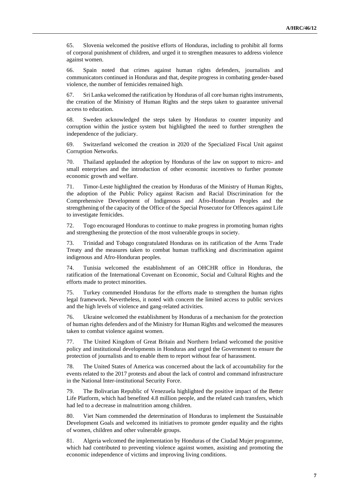65. Slovenia welcomed the positive efforts of Honduras, including to prohibit all forms of corporal punishment of children, and urged it to strengthen measures to address violence against women.

66. Spain noted that crimes against human rights defenders, journalists and communicators continued in Honduras and that, despite progress in combating gender-based violence, the number of femicides remained high.

67. Sri Lanka welcomed the ratification by Honduras of all core human rights instruments, the creation of the Ministry of Human Rights and the steps taken to guarantee universal access to education.

68. Sweden acknowledged the steps taken by Honduras to counter impunity and corruption within the justice system but highlighted the need to further strengthen the independence of the judiciary.

69. Switzerland welcomed the creation in 2020 of the Specialized Fiscal Unit against Corruption Networks.

70. Thailand applauded the adoption by Honduras of the law on support to micro- and small enterprises and the introduction of other economic incentives to further promote economic growth and welfare.

71. Timor-Leste highlighted the creation by Honduras of the Ministry of Human Rights, the adoption of the Public Policy against Racism and Racial Discrimination for the Comprehensive Development of Indigenous and Afro-Honduran Peoples and the strengthening of the capacity of the Office of the Special Prosecutor for Offences against Life to investigate femicides.

72. Togo encouraged Honduras to continue to make progress in promoting human rights and strengthening the protection of the most vulnerable groups in society.

73. Trinidad and Tobago congratulated Honduras on its ratification of the Arms Trade Treaty and the measures taken to combat human trafficking and discrimination against indigenous and Afro-Honduran peoples.

74. Tunisia welcomed the establishment of an OHCHR office in Honduras, the ratification of the International Covenant on Economic, Social and Cultural Rights and the efforts made to protect minorities.

75. Turkey commended Honduras for the efforts made to strengthen the human rights legal framework. Nevertheless, it noted with concern the limited access to public services and the high levels of violence and gang-related activities.

76. Ukraine welcomed the establishment by Honduras of a mechanism for the protection of human rights defenders and of the Ministry for Human Rights and welcomed the measures taken to combat violence against women.

77. The United Kingdom of Great Britain and Northern Ireland welcomed the positive policy and institutional developments in Honduras and urged the Government to ensure the protection of journalists and to enable them to report without fear of harassment.

78. The United States of America was concerned about the lack of accountability for the events related to the 2017 protests and about the lack of control and command infrastructure in the National Inter-institutional Security Force.

79. The Bolivarian Republic of Venezuela highlighted the positive impact of the Better Life Platform, which had benefited 4.8 million people, and the related cash transfers, which had led to a decrease in malnutrition among children.

80. Viet Nam commended the determination of Honduras to implement the Sustainable Development Goals and welcomed its initiatives to promote gender equality and the rights of women, children and other vulnerable groups.

81. Algeria welcomed the implementation by Honduras of the Ciudad Mujer programme, which had contributed to preventing violence against women, assisting and promoting the economic independence of victims and improving living conditions.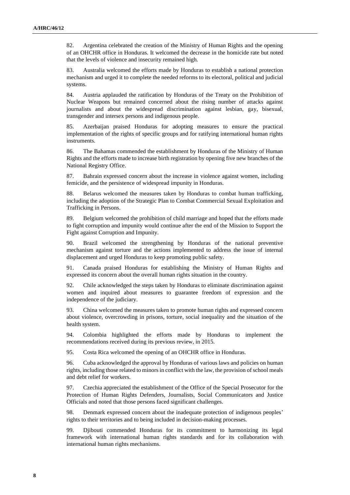82. Argentina celebrated the creation of the Ministry of Human Rights and the opening of an OHCHR office in Honduras. It welcomed the decrease in the homicide rate but noted that the levels of violence and insecurity remained high.

83. Australia welcomed the efforts made by Honduras to establish a national protection mechanism and urged it to complete the needed reforms to its electoral, political and judicial systems.

84. Austria applauded the ratification by Honduras of the Treaty on the Prohibition of Nuclear Weapons but remained concerned about the rising number of attacks against journalists and about the widespread discrimination against lesbian, gay, bisexual, transgender and intersex persons and indigenous people.

85. Azerbaijan praised Honduras for adopting measures to ensure the practical implementation of the rights of specific groups and for ratifying international human rights instruments.

86. The Bahamas commended the establishment by Honduras of the Ministry of Human Rights and the efforts made to increase birth registration by opening five new branches of the National Registry Office.

87. Bahrain expressed concern about the increase in violence against women, including femicide, and the persistence of widespread impunity in Honduras.

88. Belarus welcomed the measures taken by Honduras to combat human trafficking, including the adoption of the Strategic Plan to Combat Commercial Sexual Exploitation and Trafficking in Persons.

89. Belgium welcomed the prohibition of child marriage and hoped that the efforts made to fight corruption and impunity would continue after the end of the Mission to Support the Fight against Corruption and Impunity.

90. Brazil welcomed the strengthening by Honduras of the national preventive mechanism against torture and the actions implemented to address the issue of internal displacement and urged Honduras to keep promoting public safety.

91. Canada praised Honduras for establishing the Ministry of Human Rights and expressed its concern about the overall human rights situation in the country.

92. Chile acknowledged the steps taken by Honduras to eliminate discrimination against women and inquired about measures to guarantee freedom of expression and the independence of the judiciary.

93. China welcomed the measures taken to promote human rights and expressed concern about violence, overcrowding in prisons, torture, social inequality and the situation of the health system.

94. Colombia highlighted the efforts made by Honduras to implement the recommendations received during its previous review, in 2015.

95. Costa Rica welcomed the opening of an OHCHR office in Honduras.

96. Cuba acknowledged the approval by Honduras of various laws and policies on human rights, including those related to minors in conflict with the law, the provision of school meals and debt relief for workers.

97. Czechia appreciated the establishment of the Office of the Special Prosecutor for the Protection of Human Rights Defenders, Journalists, Social Communicators and Justice Officials and noted that those persons faced significant challenges.

98. Denmark expressed concern about the inadequate protection of indigenous peoples' rights to their territories and to being included in decision-making processes.

99. Djibouti commended Honduras for its commitment to harmonizing its legal framework with international human rights standards and for its collaboration with international human rights mechanisms.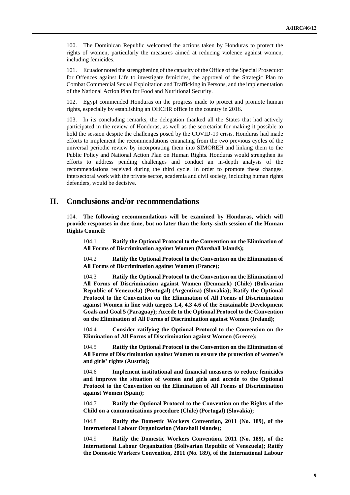100. The Dominican Republic welcomed the actions taken by Honduras to protect the rights of women, particularly the measures aimed at reducing violence against women, including femicides.

101. Ecuador noted the strengthening of the capacity of the Office of the Special Prosecutor for Offences against Life to investigate femicides, the approval of the Strategic Plan to Combat Commercial Sexual Exploitation and Trafficking in Persons, and the implementation of the National Action Plan for Food and Nutritional Security.

102. Egypt commended Honduras on the progress made to protect and promote human rights, especially by establishing an OHCHR office in the country in 2016.

103. In its concluding remarks, the delegation thanked all the States that had actively participated in the review of Honduras, as well as the secretariat for making it possible to hold the session despite the challenges posed by the COVID-19 crisis. Honduras had made efforts to implement the recommendations emanating from the two previous cycles of the universal periodic review by incorporating them into SIMOREH and linking them to the Public Policy and National Action Plan on Human Rights. Honduras would strengthen its efforts to address pending challenges and conduct an in-depth analysis of the recommendations received during the third cycle. In order to promote these changes, intersectoral work with the private sector, academia and civil society, including human rights defenders, would be decisive.

### **II. Conclusions and/or recommendations**

104. **The following recommendations will be examined by Honduras, which will provide responses in due time, but no later than the forty-sixth session of the Human Rights Council:**

104.1 **Ratify the Optional Protocol to the Convention on the Elimination of All Forms of Discrimination against Women (Marshall Islands);**

104.2 **Ratify the Optional Protocol to the Convention on the Elimination of All Forms of Discrimination against Women (France);**

104.3 **Ratify the Optional Protocol to the Convention on the Elimination of All Forms of Discrimination against Women (Denmark) (Chile) (Bolivarian Republic of Venezuela) (Portugal) (Argentina) (Slovakia); Ratify the Optional Protocol to the Convention on the Elimination of All Forms of Discrimination against Women in line with targets 1.4, 4.3 4.6 of the Sustainable Development Goals and Goal 5 (Paraguay); Accede to the Optional Protocol to the Convention on the Elimination of All Forms of Discrimination against Women (Ireland);**

104.4 **Consider ratifying the Optional Protocol to the Convention on the Elimination of All Forms of Discrimination against Women (Greece);**

104.5 **Ratify the Optional Protocol to the Convention on the Elimination of All Forms of Discrimination against Women to ensure the protection of women's and girls' rights (Austria);**

104.6 **Implement institutional and financial measures to reduce femicides and improve the situation of women and girls and accede to the Optional Protocol to the Convention on the Elimination of All Forms of Discrimination against Women (Spain);**

104.7 **Ratify the Optional Protocol to the Convention on the Rights of the Child on a communications procedure (Chile) (Portugal) (Slovakia);**

104.8 **Ratify the Domestic Workers Convention, 2011 (No. 189), of the International Labour Organization (Marshall Islands);**

104.9 **Ratify the Domestic Workers Convention, 2011 (No. 189), of the International Labour Organization (Bolivarian Republic of Venezuela); Ratify the Domestic Workers Convention, 2011 (No. 189), of the International Labour**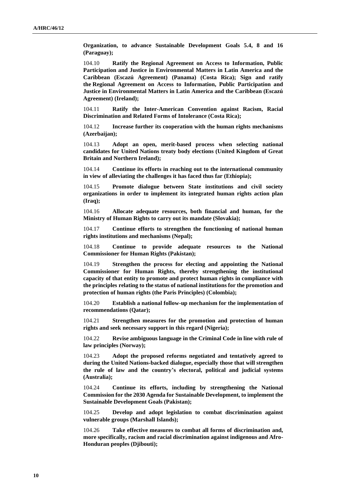**Organization, to advance Sustainable Development Goals 5.4, 8 and 16 (Paraguay);**

104.10 **Ratify the Regional Agreement on Access to Information, Public Participation and Justice in Environmental Matters in Latin America and the Caribbean (Escazú Agreement) (Panama) (Costa Rica); Sign and ratify the Regional Agreement on Access to Information, Public Participation and Justice in Environmental Matters in Latin America and the Caribbean (Escazú Agreement) (Ireland);**

104.11 **Ratify the Inter-American Convention against Racism, Racial Discrimination and Related Forms of Intolerance (Costa Rica);**

104.12 **Increase further its cooperation with the human rights mechanisms (Azerbaijan);**

104.13 **Adopt an open, merit-based process when selecting national candidates for United Nations treaty body elections (United Kingdom of Great Britain and Northern Ireland);**

104.14 **Continue its efforts in reaching out to the international community in view of alleviating the challenges it has faced thus far (Ethiopia);**

104.15 **Promote dialogue between State institutions and civil society organizations in order to implement its integrated human rights action plan (Iraq);**

104.16 **Allocate adequate resources, both financial and human, for the Ministry of Human Rights to carry out its mandate (Slovakia);**

104.17 **Continue efforts to strengthen the functioning of national human rights institutions and mechanisms (Nepal);**

104.18 **Continue to provide adequate resources to the National Commissioner for Human Rights (Pakistan);**

104.19 **Strengthen the process for electing and appointing the National Commissioner for Human Rights, thereby strengthening the institutional capacity of that entity to promote and protect human rights in compliance with the principles relating to the status of national institutions for the promotion and protection of human rights (the Paris Principles) (Colombia);**

104.20 **Establish a national follow-up mechanism for the implementation of recommendations (Qatar);**

104.21 **Strengthen measures for the promotion and protection of human rights and seek necessary support in this regard (Nigeria);**

104.22 **Revise ambiguous language in the Criminal Code in line with rule of law principles (Norway);**

104.23 **Adopt the proposed reforms negotiated and tentatively agreed to during the United Nations-backed dialogue, especially those that will strengthen the rule of law and the country's electoral, political and judicial systems (Australia);**

104.24 **Continue its efforts, including by strengthening the National Commission for the 2030 Agenda for Sustainable Development, to implement the Sustainable Development Goals (Pakistan);**

104.25 **Develop and adopt legislation to combat discrimination against vulnerable groups (Marshall Islands);**

104.26 **Take effective measures to combat all forms of discrimination and, more specifically, racism and racial discrimination against indigenous and Afro-Honduran peoples (Djibouti);**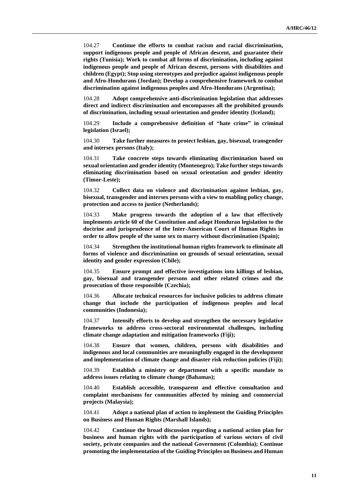104.27 **Continue the efforts to combat racism and racial discrimination, support indigenous people and people of African descent, and guarantee their rights (Tunisia); Work to combat all forms of discrimination, including against indigenous people and people of African descent, persons with disabilities and children (Egypt); Stop using stereotypes and prejudice against indigenous people and Afro-Hondurans (Jordan); Develop a comprehensive framework to combat discrimination against indigenous peoples and Afro-Hondurans (Argentina);**

104.28 **Adopt comprehensive anti-discrimination legislation that addresses direct and indirect discrimination and encompasses all the prohibited grounds of discrimination, including sexual orientation and gender identity (Iceland);**

104.29 **Include a comprehensive definition of "hate crime" in criminal legislation (Israel);**

104.30 **Take further measures to protect lesbian, gay, bisexual, transgender and intersex persons (Italy);**

104.31 **Take concrete steps towards eliminating discrimination based on sexual orientation and gender identity (Montenegro); Take further steps towards eliminating discrimination based on sexual orientation and gender identity (Timor-Leste);**

104.32 **Collect data on violence and discrimination against lesbian, gay, bisexual, transgender and intersex persons with a view to enabling policy change, protection and access to justice (Netherlands);**

104.33 **Make progress towards the adoption of a law that effectively implements article 60 of the Constitution and adapt Honduran legislation to the doctrine and jurisprudence of the Inter-American Court of Human Rights in order to allow people of the same sex to marry without discrimination (Spain);**

104.34 **Strengthen the institutional human rights framework to eliminate all forms of violence and discrimination on grounds of sexual orientation, sexual identity and gender expression (Chile);**

104.35 **Ensure prompt and effective investigations into killings of lesbian, gay, bisexual and transgender persons and other related crimes and the prosecution of those responsible (Czechia);**

104.36 **Allocate technical resources for inclusive policies to address climate change that include the participation of indigenous peoples and local communities (Indonesia);**

104.37 **Intensify efforts to develop and strengthen the necessary legislative frameworks to address cross-sectoral environmental challenges, including climate change adaptation and mitigation frameworks (Fiji);**

104.38 **Ensure that women, children, persons with disabilities and indigenous and local communities are meaningfully engaged in the development and implementation of climate change and disaster risk reduction policies (Fiji);**

104.39 **Establish a ministry or department with a specific mandate to address issues relating to climate change (Bahamas);**

104.40 **Establish accessible, transparent and effective consultation and complaint mechanisms for communities affected by mining and commercial projects (Malaysia);**

104.41 **Adopt a national plan of action to implement the Guiding Principles on Business and Human Rights (Marshall Islands);**

104.42 **Continue the broad discussion regarding a national action plan for business and human rights with the participation of various sectors of civil society, private companies and the national Government (Colombia); Continue promoting the implementation of the Guiding Principles on Business and Human**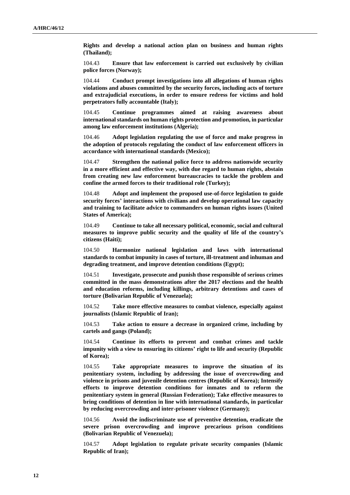**Rights and develop a national action plan on business and human rights (Thailand);**

104.43 **Ensure that law enforcement is carried out exclusively by civilian police forces (Norway);**

104.44 **Conduct prompt investigations into all allegations of human rights violations and abuses committed by the security forces, including acts of torture and extrajudicial executions, in order to ensure redress for victims and hold perpetrators fully accountable (Italy);**

104.45 **Continue programmes aimed at raising awareness about international standards on human rights protection and promotion, in particular among law enforcement institutions (Algeria);**

104.46 **Adopt legislation regulating the use of force and make progress in the adoption of protocols regulating the conduct of law enforcement officers in accordance with international standards (Mexico);**

104.47 **Strengthen the national police force to address nationwide security in a more efficient and effective way, with due regard to human rights, abstain from creating new law enforcement bureaucracies to tackle the problem and confine the armed forces to their traditional role (Turkey);**

104.48 **Adopt and implement the proposed use-of-force legislation to guide security forces' interactions with civilians and develop operational law capacity and training to facilitate advice to commanders on human rights issues (United States of America);**

104.49 **Continue to take all necessary political, economic, social and cultural measures to improve public security and the quality of life of the country's citizens (Haiti);**

104.50 **Harmonize national legislation and laws with international standards to combat impunity in cases of torture, ill-treatment and inhuman and degrading treatment, and improve detention conditions (Egypt);**

104.51 **Investigate, prosecute and punish those responsible of serious crimes committed in the mass demonstrations after the 2017 elections and the health and education reforms, including killings, arbitrary detentions and cases of torture (Bolivarian Republic of Venezuela);**

104.52 **Take more effective measures to combat violence, especially against journalists (Islamic Republic of Iran);**

104.53 **Take action to ensure a decrease in organized crime, including by cartels and gangs (Poland);**

104.54 **Continue its efforts to prevent and combat crimes and tackle impunity with a view to ensuring its citizens' right to life and security (Republic of Korea);**

104.55 **Take appropriate measures to improve the situation of its penitentiary system, including by addressing the issue of overcrowding and violence in prisons and juvenile detention centres (Republic of Korea); Intensify efforts to improve detention conditions for inmates and to reform the penitentiary system in general (Russian Federation); Take effective measures to bring conditions of detention in line with international standards, in particular by reducing overcrowding and inter-prisoner violence (Germany);**

104.56 **Avoid the indiscriminate use of preventive detention, eradicate the severe prison overcrowding and improve precarious prison conditions (Bolivarian Republic of Venezuela);**

104.57 **Adopt legislation to regulate private security companies (Islamic Republic of Iran);**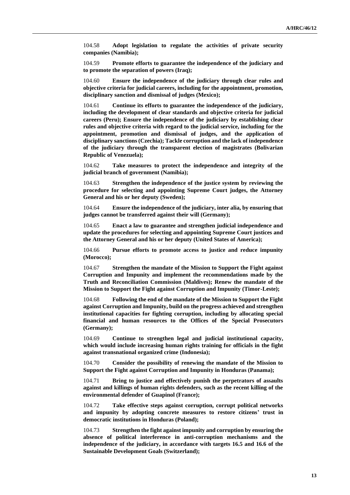104.58 **Adopt legislation to regulate the activities of private security companies (Namibia);**

104.59 **Promote efforts to guarantee the independence of the judiciary and to promote the separation of powers (Iraq);**

104.60 **Ensure the independence of the judiciary through clear rules and objective criteria for judicial careers, including for the appointment, promotion, disciplinary sanction and dismissal of judges (Mexico);**

104.61 **Continue its efforts to guarantee the independence of the judiciary, including the development of clear standards and objective criteria for judicial careers (Peru); Ensure the independence of the judiciary by establishing clear rules and objective criteria with regard to the judicial service, including for the appointment, promotion and dismissal of judges, and the application of disciplinary sanctions (Czechia); Tackle corruption and the lack of independence of the judiciary through the transparent election of magistrates (Bolivarian Republic of Venezuela);**

104.62 **Take measures to protect the independence and integrity of the judicial branch of government (Namibia);**

104.63 **Strengthen the independence of the justice system by reviewing the procedure for selecting and appointing Supreme Court judges, the Attorney General and his or her deputy (Sweden);**

104.64 **Ensure the independence of the judiciary, inter alia, by ensuring that judges cannot be transferred against their will (Germany);**

104.65 **Enact a law to guarantee and strengthen judicial independence and update the procedures for selecting and appointing Supreme Court justices and the Attorney General and his or her deputy (United States of America);**

104.66 **Pursue efforts to promote access to justice and reduce impunity (Morocco);**

104.67 **Strengthen the mandate of the Mission to Support the Fight against Corruption and Impunity and implement the recommendations made by the Truth and Reconciliation Commission (Maldives); Renew the mandate of the Mission to Support the Fight against Corruption and Impunity (Timor-Leste);**

104.68 **Following the end of the mandate of the Mission to Support the Fight against Corruption and Impunity, build on the progress achieved and strengthen institutional capacities for fighting corruption, including by allocating special financial and human resources to the Offices of the Special Prosecutors (Germany);**

104.69 **Continue to strengthen legal and judicial institutional capacity, which would include increasing human rights training for officials in the fight against transnational organized crime (Indonesia);**

104.70 **Consider the possibility of renewing the mandate of the Mission to Support the Fight against Corruption and Impunity in Honduras (Panama);**

104.71 **Bring to justice and effectively punish the perpetrators of assaults against and killings of human rights defenders, such as the recent killing of the environmental defender of Guapinol (France);**

104.72 **Take effective steps against corruption, corrupt political networks and impunity by adopting concrete measures to restore citizens' trust in democratic institutions in Honduras (Poland);**

104.73 **Strengthen the fight against impunity and corruption by ensuring the absence of political interference in anti-corruption mechanisms and the independence of the judiciary, in accordance with targets 16.5 and 16.6 of the Sustainable Development Goals (Switzerland);**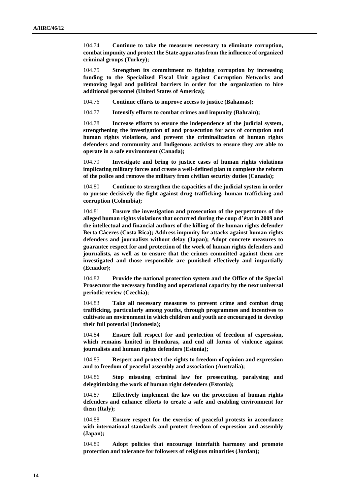104.74 **Continue to take the measures necessary to eliminate corruption, combat impunity and protect the State apparatus from the influence of organized criminal groups (Turkey);**

104.75 **Strengthen its commitment to fighting corruption by increasing funding to the Specialized Fiscal Unit against Corruption Networks and removing legal and political barriers in order for the organization to hire additional personnel (United States of America);**

104.76 **Continue efforts to improve access to justice (Bahamas);**

104.77 **Intensify efforts to combat crimes and impunity (Bahrain);**

104.78 **Increase efforts to ensure the independence of the judicial system, strengthening the investigation of and prosecution for acts of corruption and human rights violations, and prevent the criminalization of human rights defenders and community and Indigenous activists to ensure they are able to operate in a safe environment (Canada);**

104.79 **Investigate and bring to justice cases of human rights violations implicating military forces and create a well-defined plan to complete the reform of the police and remove the military from civilian security duties (Canada);**

104.80 **Continue to strengthen the capacities of the judicial system in order to pursue decisively the fight against drug trafficking, human trafficking and corruption (Colombia);**

104.81 **Ensure the investigation and prosecution of the perpetrators of the alleged human rights violations that occurred during the coup d'état in 2009 and the intellectual and financial authors of the killing of the human rights defender Berta Cáceres (Costa Rica); Address impunity for attacks against human rights defenders and journalists without delay (Japan); Adopt concrete measures to guarantee respect for and protection of the work of human rights defenders and journalists, as well as to ensure that the crimes committed against them are investigated and those responsible are punished effectively and impartially (Ecuador);**

104.82 **Provide the national protection system and the Office of the Special Prosecutor the necessary funding and operational capacity by the next universal periodic review (Czechia);**

104.83 **Take all necessary measures to prevent crime and combat drug trafficking, particularly among youths, through programmes and incentives to cultivate an environment in which children and youth are encouraged to develop their full potential (Indonesia);**

104.84 **Ensure full respect for and protection of freedom of expression, which remains limited in Honduras, and end all forms of violence against journalists and human rights defenders (Estonia);**

104.85 **Respect and protect the rights to freedom of opinion and expression and to freedom of peaceful assembly and association (Australia);**

104.86 **Stop misusing criminal law for prosecuting, paralysing and delegitimizing the work of human right defenders (Estonia);**

104.87 **Effectively implement the law on the protection of human rights defenders and enhance efforts to create a safe and enabling environment for them (Italy);**

104.88 **Ensure respect for the exercise of peaceful protests in accordance with international standards and protect freedom of expression and assembly (Japan);**

104.89 **Adopt policies that encourage interfaith harmony and promote protection and tolerance for followers of religious minorities (Jordan);**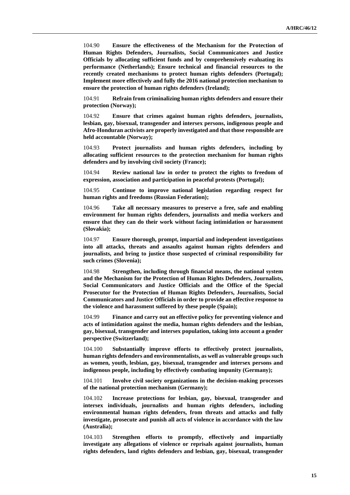104.90 **Ensure the effectiveness of the Mechanism for the Protection of Human Rights Defenders, Journalists, Social Communicators and Justice Officials by allocating sufficient funds and by comprehensively evaluating its performance (Netherlands); Ensure technical and financial resources to the recently created mechanisms to protect human rights defenders (Portugal); Implement more effectively and fully the 2016 national protection mechanism to ensure the protection of human rights defenders (Ireland);**

104.91 **Refrain from criminalizing human rights defenders and ensure their protection (Norway);**

104.92 **Ensure that crimes against human rights defenders, journalists, lesbian, gay, bisexual, transgender and intersex persons, indigenous people and Afro-Honduran activists are properly investigated and that those responsible are held accountable (Norway);**

104.93 **Protect journalists and human rights defenders, including by allocating sufficient resources to the protection mechanism for human rights defenders and by involving civil society (France);**

104.94 **Review national law in order to protect the rights to freedom of expression, association and participation in peaceful protests (Portugal);**

104.95 **Continue to improve national legislation regarding respect for human rights and freedoms (Russian Federation);**

104.96 **Take all necessary measures to preserve a free, safe and enabling environment for human rights defenders, journalists and media workers and ensure that they can do their work without facing intimidation or harassment (Slovakia);**

104.97 **Ensure thorough, prompt, impartial and independent investigations into all attacks, threats and assaults against human rights defenders and journalists, and bring to justice those suspected of criminal responsibility for such crimes (Slovenia);**

104.98 **Strengthen, including through financial means, the national system and the Mechanism for the Protection of Human Rights Defenders, Journalists, Social Communicators and Justice Officials and the Office of the Special Prosecutor for the Protection of Human Rights Defenders, Journalists, Social Communicators and Justice Officials in order to provide an effective response to the violence and harassment suffered by these people (Spain);**

104.99 **Finance and carry out an effective policy for preventing violence and acts of intimidation against the media, human rights defenders and the lesbian, gay, bisexual, transgender and intersex population, taking into account a gender perspective (Switzerland);**

104.100 **Substantially improve efforts to effectively protect journalists, human rights defenders and environmentalists, as well as vulnerable groups such as women, youth, lesbian, gay, bisexual, transgender and intersex persons and indigenous people, including by effectively combating impunity (Germany);**

104.101 **Involve civil society organizations in the decision-making processes of the national protection mechanism (Germany);**

104.102 **Increase protections for lesbian, gay, bisexual, transgender and intersex individuals, journalists and human rights defenders, including environmental human rights defenders, from threats and attacks and fully investigate, prosecute and punish all acts of violence in accordance with the law (Australia);**

104.103 **Strengthen efforts to promptly, effectively and impartially investigate any allegations of violence or reprisals against journalists, human rights defenders, land rights defenders and lesbian, gay, bisexual, transgender**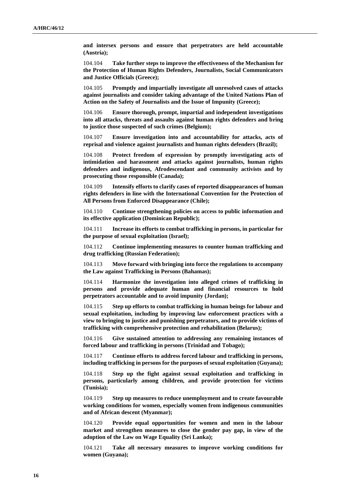**and intersex persons and ensure that perpetrators are held accountable (Austria);**

104.104 **Take further steps to improve the effectiveness of the Mechanism for the Protection of Human Rights Defenders, Journalists, Social Communicators and Justice Officials (Greece);**

104.105 **Promptly and impartially investigate all unresolved cases of attacks against journalists and consider taking advantage of the United Nations Plan of Action on the Safety of Journalists and the Issue of Impunity (Greece);**

104.106 **Ensure thorough, prompt, impartial and independent investigations into all attacks, threats and assaults against human rights defenders and bring to justice those suspected of such crimes (Belgium);**

104.107 **Ensure investigation into and accountability for attacks, acts of reprisal and violence against journalists and human rights defenders (Brazil);**

104.108 **Protect freedom of expression by promptly investigating acts of intimidation and harassment and attacks against journalists, human rights defenders and indigenous, Afrodescendant and community activists and by prosecuting those responsible (Canada);**

104.109 **Intensify efforts to clarify cases of reported disappearances of human rights defenders in line with the International Convention for the Protection of All Persons from Enforced Disappearance (Chile);**

104.110 **Continue strengthening policies on access to public information and its effective application (Dominican Republic);**

104.111 **Increase its efforts to combat trafficking in persons, in particular for the purpose of sexual exploitation (Israel);**

104.112 **Continue implementing measures to counter human trafficking and drug trafficking (Russian Federation);**

104.113 **Move forward with bringing into force the regulations to accompany the Law against Trafficking in Persons (Bahamas);**

104.114 **Harmonize the investigation into alleged crimes of trafficking in persons and provide adequate human and financial resources to hold perpetrators accountable and to avoid impunity (Jordan);**

104.115 **Step up efforts to combat trafficking in human beings for labour and sexual exploitation, including by improving law enforcement practices with a view to bringing to justice and punishing perpetrators, and to provide victims of trafficking with comprehensive protection and rehabilitation (Belarus);**

104.116 **Give sustained attention to addressing any remaining instances of forced labour and trafficking in persons (Trinidad and Tobago);**

104.117 **Continue efforts to address forced labour and trafficking in persons, including trafficking in persons for the purposes of sexual exploitation (Guyana);**

104.118 **Step up the fight against sexual exploitation and trafficking in persons, particularly among children, and provide protection for victims (Tunisia);**

104.119 **Step up measures to reduce unemployment and to create favourable working conditions for women, especially women from indigenous communities and of African descent (Myanmar);**

104.120 **Provide equal opportunities for women and men in the labour market and strengthen measures to close the gender pay gap, in view of the adoption of the Law on Wage Equality (Sri Lanka);**

104.121 **Take all necessary measures to improve working conditions for women (Guyana);**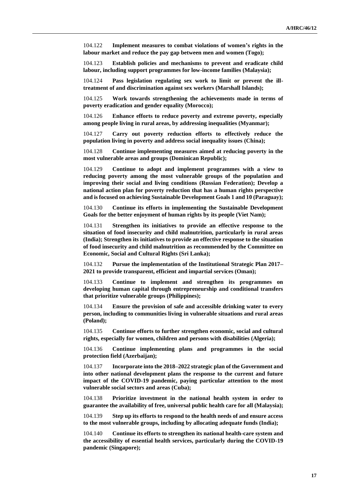104.122 **Implement measures to combat violations of women's rights in the labour market and reduce the pay gap between men and women (Togo);**

104.123 **Establish policies and mechanisms to prevent and eradicate child labour, including support programmes for low-income families (Malaysia);**

104.124 **Pass legislation regulating sex work to limit or prevent the illtreatment of and discrimination against sex workers (Marshall Islands);**

104.125 **Work towards strengthening the achievements made in terms of poverty eradication and gender equality (Morocco);**

104.126 **Enhance efforts to reduce poverty and extreme poverty, especially among people living in rural areas, by addressing inequalities (Myanmar);**

104.127 **Carry out poverty reduction efforts to effectively reduce the population living in poverty and address social inequality issues (China);**

104.128 **Continue implementing measures aimed at reducing poverty in the most vulnerable areas and groups (Dominican Republic);**

104.129 **Continue to adopt and implement programmes with a view to reducing poverty among the most vulnerable groups of the population and improving their social and living conditions (Russian Federation); Develop a national action plan for poverty reduction that has a human rights perspective and is focused on achieving Sustainable Development Goals 1 and 10 (Paraguay);**

104.130 **Continue its efforts in implementing the Sustainable Development Goals for the better enjoyment of human rights by its people (Viet Nam);**

104.131 **Strengthen its initiatives to provide an effective response to the situation of food insecurity and child malnutrition, particularly in rural areas (India); Strengthen its initiatives to provide an effective response to the situation of food insecurity and child malnutrition as recommended by the Committee on Economic, Social and Cultural Rights (Sri Lanka);**

104.132 **Pursue the implementation of the Institutional Strategic Plan 2017– 2021 to provide transparent, efficient and impartial services (Oman);**

104.133 **Continue to implement and strengthen its programmes on developing human capital through entrepreneurship and conditional transfers that prioritize vulnerable groups (Philippines);**

104.134 **Ensure the provision of safe and accessible drinking water to every person, including to communities living in vulnerable situations and rural areas (Poland);**

104.135 **Continue efforts to further strengthen economic, social and cultural rights, especially for women, children and persons with disabilities (Algeria);**

104.136 **Continue implementing plans and programmes in the social protection field (Azerbaijan);**

104.137 **Incorporate into the 2018–2022 strategic plan of the Government and into other national development plans the response to the current and future impact of the COVID-19 pandemic, paying particular attention to the most vulnerable social sectors and areas (Cuba);**

104.138 **Prioritize investment in the national health system in order to guarantee the availability of free, universal public health care for all (Malaysia);**

104.139 **Step up its efforts to respond to the health needs of and ensure access to the most vulnerable groups, including by allocating adequate funds (India);**

104.140 **Continue its efforts to strengthen its national health-care system and the accessibility of essential health services, particularly during the COVID-19 pandemic (Singapore);**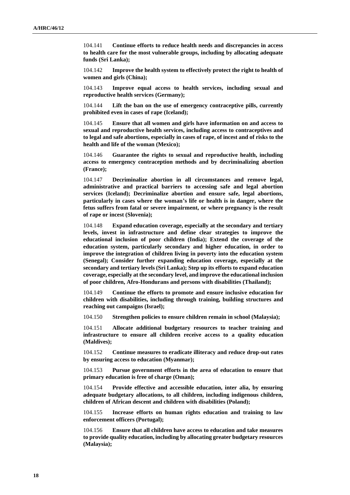104.141 **Continue efforts to reduce health needs and discrepancies in access to health care for the most vulnerable groups, including by allocating adequate funds (Sri Lanka);**

104.142 **Improve the health system to effectively protect the right to health of women and girls (China);**

104.143 **Improve equal access to health services, including sexual and reproductive health services (Germany);**

104.144 **Lift the ban on the use of emergency contraceptive pills, currently prohibited even in cases of rape (Iceland);**

104.145 **Ensure that all women and girls have information on and access to sexual and reproductive health services, including access to contraceptives and to legal and safe abortions, especially in cases of rape, of incest and of risks to the health and life of the woman (Mexico);**

104.146 **Guarantee the rights to sexual and reproductive health, including access to emergency contraception methods and by decriminalizing abortion (France);**

104.147 **Decriminalize abortion in all circumstances and remove legal, administrative and practical barriers to accessing safe and legal abortion services (Iceland); Decriminalize abortion and ensure safe, legal abortions, particularly in cases where the woman's life or health is in danger, where the fetus suffers from fatal or severe impairment, or where pregnancy is the result of rape or incest (Slovenia);**

104.148 **Expand education coverage, especially at the secondary and tertiary levels, invest in infrastructure and define clear strategies to improve the educational inclusion of poor children (India); Extend the coverage of the education system, particularly secondary and higher education, in order to improve the integration of children living in poverty into the education system (Senegal); Consider further expanding education coverage, especially at the secondary and tertiary levels (Sri Lanka); Step up its efforts to expand education coverage, especially at the secondary level, and improve the educational inclusion of poor children, Afro-Hondurans and persons with disabilities (Thailand);**

104.149 **Continue the efforts to promote and ensure inclusive education for children with disabilities, including through training, building structures and reaching out campaigns (Israel);**

104.150 **Strengthen policies to ensure children remain in school (Malaysia);**

104.151 **Allocate additional budgetary resources to teacher training and infrastructure to ensure all children receive access to a quality education (Maldives);**

104.152 **Continue measures to eradicate illiteracy and reduce drop-out rates by ensuring access to education (Myanmar);**

104.153 **Pursue government efforts in the area of education to ensure that primary education is free of charge (Oman);**

104.154 **Provide effective and accessible education, inter alia, by ensuring adequate budgetary allocations, to all children, including indigenous children, children of African descent and children with disabilities (Poland);**

104.155 **Increase efforts on human rights education and training to law enforcement officers (Portugal);**

104.156 **Ensure that all children have access to education and take measures to provide quality education, including by allocating greater budgetary resources (Malaysia);**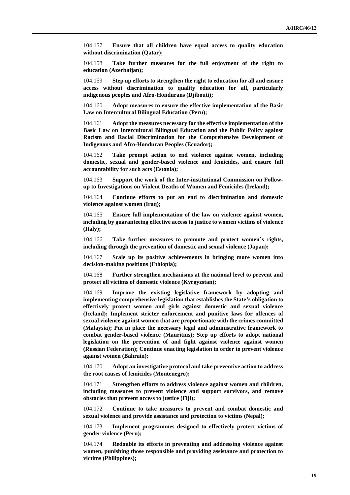104.157 **Ensure that all children have equal access to quality education without discrimination (Qatar);**

104.158 **Take further measures for the full enjoyment of the right to education (Azerbaijan);**

104.159 **Step up efforts to strengthen the right to education for all and ensure access without discrimination to quality education for all, particularly indigenous peoples and Afro-Hondurans (Djibouti);**

104.160 **Adopt measures to ensure the effective implementation of the Basic Law on Intercultural Bilingual Education (Peru);**

104.161 **Adopt the measures necessary for the effective implementation of the Basic Law on Intercultural Bilingual Education and the Public Policy against Racism and Racial Discrimination for the Comprehensive Development of Indigenous and Afro-Honduran Peoples (Ecuador);**

104.162 **Take prompt action to end violence against women, including domestic, sexual and gender-based violence and femicides, and ensure full accountability for such acts (Estonia);**

104.163 **Support the work of the Inter-institutional Commission on Followup to Investigations on Violent Deaths of Women and Femicides (Ireland);**

104.164 **Continue efforts to put an end to discrimination and domestic violence against women (Iraq);**

104.165 **Ensure full implementation of the law on violence against women, including by guaranteeing effective access to justice to women victims of violence (Italy);**

104.166 **Take further measures to promote and protect women's rights, including through the prevention of domestic and sexual violence (Japan);**

104.167 **Scale up its positive achievements in bringing more women into decision-making positions (Ethiopia);**

104.168 **Further strengthen mechanisms at the national level to prevent and protect all victims of domestic violence (Kyrgyzstan);**

104.169 **Improve the existing legislative framework by adopting and implementing comprehensive legislation that establishes the State's obligation to effectively protect women and girls against domestic and sexual violence (Iceland); Implement stricter enforcement and punitive laws for offences of sexual violence against women that are proportionate with the crimes committed (Malaysia); Put in place the necessary legal and administrative framework to combat gender-based violence (Mauritius); Step up efforts to adopt national legislation on the prevention of and fight against violence against women (Russian Federation); Continue enacting legislation in order to prevent violence against women (Bahrain);**

104.170 **Adopt an investigative protocol and take preventive action to address the root causes of femicides (Montenegro);**

104.171 **Strengthen efforts to address violence against women and children, including measures to prevent violence and support survivors, and remove obstacles that prevent access to justice (Fiji);**

104.172 **Continue to take measures to prevent and combat domestic and sexual violence and provide assistance and protection to victims (Nepal);**

104.173 **Implement programmes designed to effectively protect victims of gender violence (Peru);**

104.174 **Redouble its efforts in preventing and addressing violence against women, punishing those responsible and providing assistance and protection to victims (Philippines);**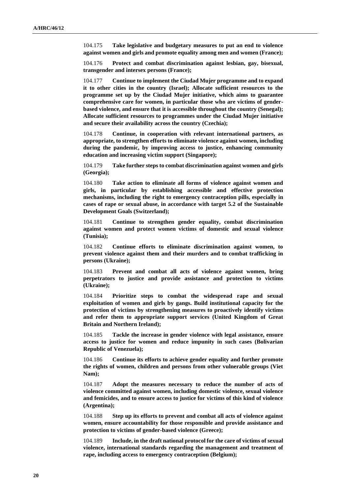104.175 **Take legislative and budgetary measures to put an end to violence against women and girls and promote equality among men and women (France);**

104.176 **Protect and combat discrimination against lesbian, gay, bisexual, transgender and intersex persons (France);**

104.177 **Continue to implement the Ciudad Mujer programme and to expand it to other cities in the country (Israel); Allocate sufficient resources to the programme set up by the Ciudad Mujer initiative, which aims to guarantee comprehensive care for women, in particular those who are victims of genderbased violence, and ensure that it is accessible throughout the country (Senegal); Allocate sufficient resources to programmes under the Ciudad Mujer initiative and secure their availability across the country (Czechia);**

104.178 **Continue, in cooperation with relevant international partners, as appropriate, to strengthen efforts to eliminate violence against women, including during the pandemic, by improving access to justice, enhancing community education and increasing victim support (Singapore);**

104.179 **Take further steps to combat discrimination against women and girls (Georgia);**

104.180 **Take action to eliminate all forms of violence against women and girls, in particular by establishing accessible and effective protection mechanisms, including the right to emergency contraception pills, especially in cases of rape or sexual abuse, in accordance with target 5.2 of the Sustainable Development Goals (Switzerland);**

104.181 **Continue to strengthen gender equality, combat discrimination against women and protect women victims of domestic and sexual violence (Tunisia);**

104.182 **Continue efforts to eliminate discrimination against women, to prevent violence against them and their murders and to combat trafficking in persons (Ukraine);**

104.183 **Prevent and combat all acts of violence against women, bring perpetrators to justice and provide assistance and protection to victims (Ukraine);**

104.184 **Prioritize steps to combat the widespread rape and sexual exploitation of women and girls by gangs. Build institutional capacity for the protection of victims by strengthening measures to proactively identify victims and refer them to appropriate support services (United Kingdom of Great Britain and Northern Ireland);**

104.185 **Tackle the increase in gender violence with legal assistance, ensure access to justice for women and reduce impunity in such cases (Bolivarian Republic of Venezuela);**

104.186 **Continue its efforts to achieve gender equality and further promote the rights of women, children and persons from other vulnerable groups (Viet Nam);**

104.187 **Adopt the measures necessary to reduce the number of acts of violence committed against women, including domestic violence, sexual violence and femicides, and to ensure access to justice for victims of this kind of violence (Argentina);**

104.188 **Step up its efforts to prevent and combat all acts of violence against women, ensure accountability for those responsible and provide assistance and protection to victims of gender-based violence (Greece);**

104.189 **Include, in the draft national protocol for the care of victims of sexual violence, international standards regarding the management and treatment of rape, including access to emergency contraception (Belgium);**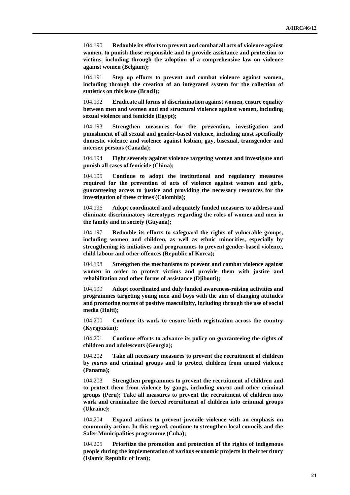104.190 **Redouble its efforts to prevent and combat all acts of violence against women, to punish those responsible and to provide assistance and protection to victims, including through the adoption of a comprehensive law on violence against women (Belgium);**

104.191 **Step up efforts to prevent and combat violence against women, including through the creation of an integrated system for the collection of statistics on this issue (Brazil);**

104.192 **Eradicate all forms of discrimination against women, ensure equality between men and women and end structural violence against women, including sexual violence and femicide (Egypt);**

104.193 **Strengthen measures for the prevention, investigation and punishment of all sexual and gender-based violence, including most specifically domestic violence and violence against lesbian, gay, bisexual, transgender and intersex persons (Canada);**

104.194 **Fight severely against violence targeting women and investigate and punish all cases of femicide (China);**

104.195 **Continue to adopt the institutional and regulatory measures required for the prevention of acts of violence against women and girls, guaranteeing access to justice and providing the necessary resources for the investigation of these crimes (Colombia);**

104.196 **Adopt coordinated and adequately funded measures to address and eliminate discriminatory stereotypes regarding the roles of women and men in the family and in society (Guyana);**

104.197 **Redouble its efforts to safeguard the rights of vulnerable groups, including women and children, as well as ethnic minorities, especially by strengthening its initiatives and programmes to prevent gender-based violence, child labour and other offences (Republic of Korea);**

104.198 **Strengthen the mechanisms to prevent and combat violence against women in order to protect victims and provide them with justice and rehabilitation and other forms of assistance (Djibouti);**

104.199 **Adopt coordinated and duly funded awareness-raising activities and programmes targeting young men and boys with the aim of changing attitudes and promoting norms of positive masculinity, including through the use of social media (Haiti);**

104.200 **Continue its work to ensure birth registration across the country (Kyrgyzstan);**

104.201 **Continue efforts to advance its policy on guaranteeing the rights of children and adolescents (Georgia);**

104.202 **Take all necessary measures to prevent the recruitment of children by** *maras* **and criminal groups and to protect children from armed violence (Panama);**

104.203 **Strengthen programmes to prevent the recruitment of children and to protect them from violence by gangs, including** *maras* **and other criminal groups (Peru); Take all measures to prevent the recruitment of children into work and criminalize the forced recruitment of children into criminal groups (Ukraine);**

104.204 **Expand actions to prevent juvenile violence with an emphasis on community action. In this regard, continue to strengthen local councils and the Safer Municipalities programme (Cuba);**

104.205 **Prioritize the promotion and protection of the rights of indigenous people during the implementation of various economic projects in their territory (Islamic Republic of Iran);**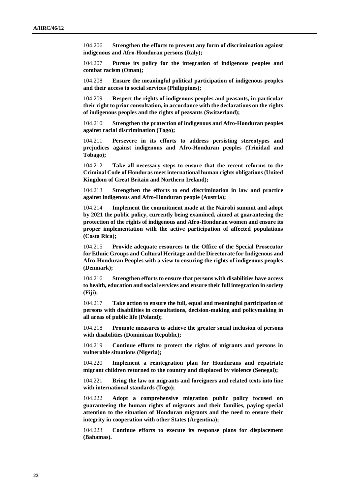104.206 **Strengthen the efforts to prevent any form of discrimination against indigenous and Afro-Honduran persons (Italy);**

104.207 **Pursue its policy for the integration of indigenous peoples and combat racism (Oman);**

104.208 **Ensure the meaningful political participation of indigenous peoples and their access to social services (Philippines);**

104.209 **Respect the rights of indigenous peoples and peasants, in particular their right to prior consultation, in accordance with the declarations on the rights of indigenous peoples and the rights of peasants (Switzerland);**

104.210 **Strengthen the protection of indigenous and Afro-Honduran peoples against racial discrimination (Togo);**

104.211 **Persevere in its efforts to address persisting stereotypes and prejudices against indigenous and Afro-Honduran peoples (Trinidad and Tobago);**

104.212 **Take all necessary steps to ensure that the recent reforms to the Criminal Code of Honduras meet international human rights obligations (United Kingdom of Great Britain and Northern Ireland);**

104.213 **Strengthen the efforts to end discrimination in law and practice against indigenous and Afro-Honduran people (Austria);**

104.214 **Implement the commitment made at the Nairobi summit and adopt by 2021 the public policy, currently being examined, aimed at guaranteeing the protection of the rights of indigenous and Afro-Honduran women and ensure its proper implementation with the active participation of affected populations (Costa Rica);**

104.215 **Provide adequate resources to the Office of the Special Prosecutor for Ethnic Groups and Cultural Heritage and the Directorate for Indigenous and Afro-Honduran Peoples with a view to ensuring the rights of indigenous peoples (Denmark);**

104.216 **Strengthen efforts to ensure that persons with disabilities have access to health, education and social services and ensure their full integration in society (Fiji);**

104.217 **Take action to ensure the full, equal and meaningful participation of persons with disabilities in consultations, decision-making and policymaking in all areas of public life (Poland);**

104.218 **Promote measures to achieve the greater social inclusion of persons with disabilities (Dominican Republic);**

104.219 **Continue efforts to protect the rights of migrants and persons in vulnerable situations (Nigeria);**

104.220 **Implement a reintegration plan for Hondurans and repatriate migrant children returned to the country and displaced by violence (Senegal);**

104.221 **Bring the law on migrants and foreigners and related texts into line with international standards (Togo);**

104.222 **Adopt a comprehensive migration public policy focused on guaranteeing the human rights of migrants and their families, paying special attention to the situation of Honduran migrants and the need to ensure their integrity in cooperation with other States (Argentina);**

104.223 **Continue efforts to execute its response plans for displacement (Bahamas).**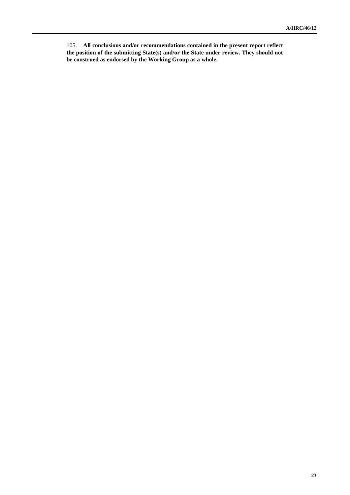105. **All conclusions and/or recommendations contained in the present report reflect the position of the submitting State(s) and/or the State under review. They should not be construed as endorsed by the Working Group as a whole.**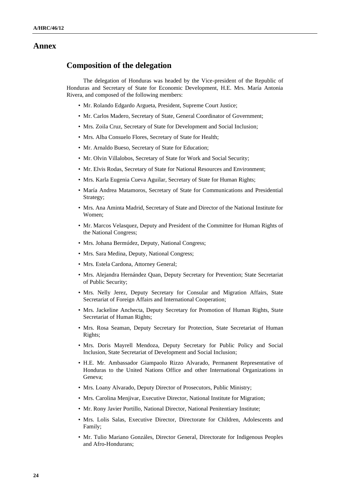### **Annex**

## **Composition of the delegation**

The delegation of Honduras was headed by the Vice-president of the Republic of Honduras and Secretary of State for Economic Development, H.E. Mrs. María Antonia Rivera, and composed of the following members:

- Mr. Rolando Edgardo Argueta, President, Supreme Court Justice;
- Mr. Carlos Madero, Secretary of State, General Coordinator of Government;
- Mrs. Zoila Cruz, Secretary of State for Development and Social Inclusion;
- Mrs. Alba Consuelo Flores, Secretary of State for Health;
- Mr. Arnaldo Bueso, Secretary of State for Education;
- Mr. Olvin Villalobos, Secretary of State for Work and Social Security;
- Mr. Elvis Rodas, Secretary of State for National Resources and Environment;
- Mrs. Karla Eugenia Cueva Aguilar, Secretary of State for Human Rights;
- María Andrea Matamoros, Secretary of State for Communications and Presidential Strategy;
- Mrs. Ana Aminta Madrid, Secretary of State and Director of the National Institute for Women;
- Mr. Marcos Velasquez, Deputy and President of the Committee for Human Rights of the National Congress;
- Mrs. Johana Bermúdez, Deputy, National Congress;
- Mrs. Sara Medina, Deputy, National Congress;
- Mrs. Estela Cardona, Attorney General;
- Mrs. Alejandra Hernández Quan, Deputy Secretary for Prevention; State Secretariat of Public Security;
- Mrs. Nelly Jerez, Deputy Secretary for Consular and Migration Affairs, State Secretariat of Foreign Affairs and International Cooperation;
- Mrs. Jackeline Anchecta, Deputy Secretary for Promotion of Human Rights, State Secretariat of Human Rights;
- Mrs. Rosa Seaman, Deputy Secretary for Protection, State Secretariat of Human Rights;
- Mrs. Doris Mayrell Mendoza, Deputy Secretary for Public Policy and Social Inclusion, State Secretariat of Development and Social Inclusion;
- H.E. Mr. Ambassador Giampaolo Rizzo Alvarado, Permanent Representative of Honduras to the United Nations Office and other International Organizations in Geneva;
- Mrs. Loany Alvarado, Deputy Director of Prosecutors, Public Ministry;
- Mrs. Carolina Menjivar, Executive Director, National Institute for Migration;
- Mr. Rony Javier Portillo, National Director, National Penitentiary Institute;
- Mrs. Lolis Salas, Executive Director, Directorate for Children, Adolescents and Family;
- Mr. Tulio Mariano Gonzáles, Director General, Directorate for Indigenous Peoples and Afro-Hondurans;